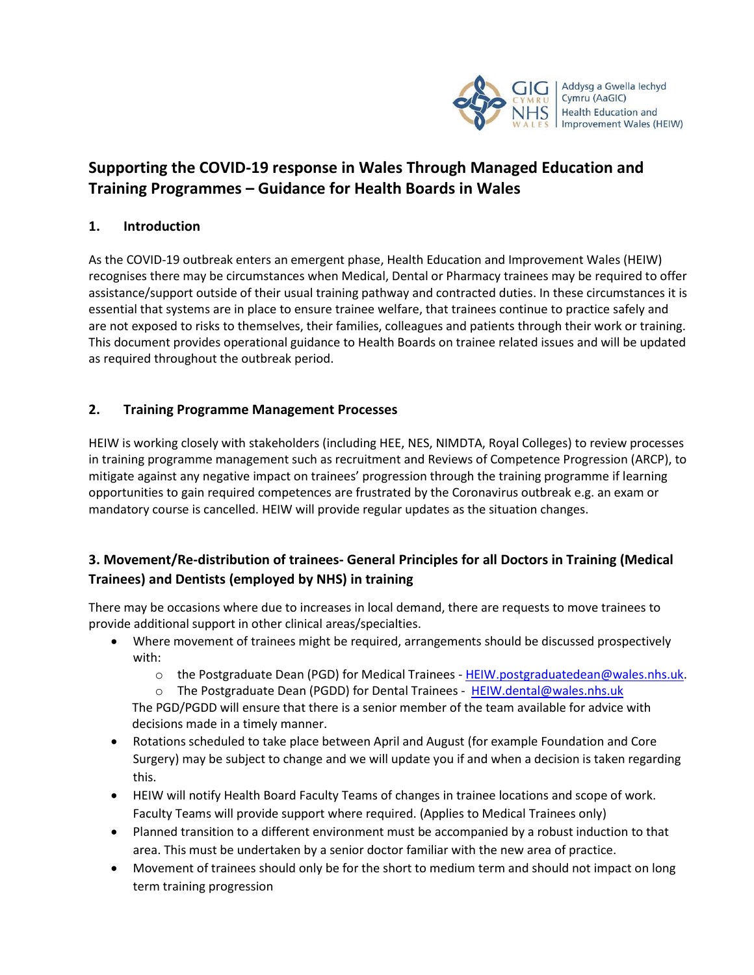

# **Supporting the COVID-19 response in Wales Through Managed Education and Training Programmes – Guidance for Health Boards in Wales**

## **1. Introduction**

As the COVID-19 outbreak enters an emergent phase, Health Education and Improvement Wales (HEIW) recognises there may be circumstances when Medical, Dental or Pharmacy trainees may be required to offer assistance/support outside of their usual training pathway and contracted duties. In these circumstances it is essential that systems are in place to ensure trainee welfare, that trainees continue to practice safely and are not exposed to risks to themselves, their families, colleagues and patients through their work or training. This document provides operational guidance to Health Boards on trainee related issues and will be updated as required throughout the outbreak period.

# **2. Training Programme Management Processes**

HEIW is working closely with stakeholders (including HEE, NES, NIMDTA, Royal Colleges) to review processes in training programme management such as recruitment and Reviews of Competence Progression (ARCP), to mitigate against any negative impact on trainees' progression through the training programme if learning opportunities to gain required competences are frustrated by the Coronavirus outbreak e.g. an exam or mandatory course is cancelled. HEIW will provide regular updates as the situation changes.

# **3. Movement/Re-distribution of trainees- General Principles for all Doctors in Training (Medical Trainees) and Dentists (employed by NHS) in training**

There may be occasions where due to increases in local demand, there are requests to move trainees to provide additional support in other clinical areas/specialties.

- Where movement of trainees might be required, arrangements should be discussed prospectively with:
	- $\circ$  the Postgraduate Dean (PGD) for Medical Trainees [HEIW.postgraduatedean@wales.nhs.uk.](mailto:HEIW.postgraduatedean@wales.nhs.uk)
	- o The Postgraduate Dean (PGDD) for Dental Trainees [HEIW.dental@wales.nhs.uk](mailto:HEIW.dental@wales.nhs.uk)

The PGD/PGDD will ensure that there is a senior member of the team available for advice with decisions made in a timely manner.

- Rotations scheduled to take place between April and August (for example Foundation and Core Surgery) may be subject to change and we will update you if and when a decision is taken regarding this.
- HEIW will notify Health Board Faculty Teams of changes in trainee locations and scope of work. Faculty Teams will provide support where required. (Applies to Medical Trainees only)
- Planned transition to a different environment must be accompanied by a robust induction to that area. This must be undertaken by a senior doctor familiar with the new area of practice.
- Movement of trainees should only be for the short to medium term and should not impact on long term training progression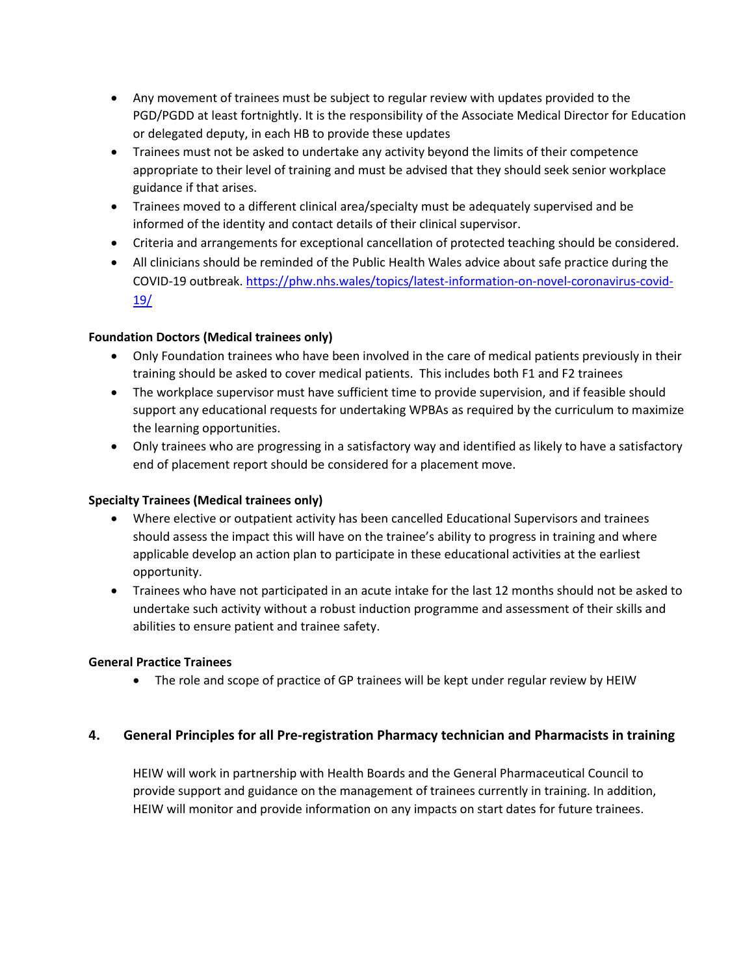- Any movement of trainees must be subject to regular review with updates provided to the PGD/PGDD at least fortnightly. It is the responsibility of the Associate Medical Director for Education or delegated deputy, in each HB to provide these updates
- Trainees must not be asked to undertake any activity beyond the limits of their competence appropriate to their level of training and must be advised that they should seek senior workplace guidance if that arises.
- Trainees moved to a different clinical area/specialty must be adequately supervised and be informed of the identity and contact details of their clinical supervisor.
- Criteria and arrangements for exceptional cancellation of protected teaching should be considered.
- All clinicians should be reminded of the Public Health Wales advice about safe practice during the COVID-19 outbreak. [https://phw.nhs.wales/topics/latest-information-on-novel-coronavirus-covid-](https://phw.nhs.wales/topics/latest-information-on-novel-coronavirus-covid-19/)[19/](https://phw.nhs.wales/topics/latest-information-on-novel-coronavirus-covid-19/)

### **Foundation Doctors (Medical trainees only)**

- Only Foundation trainees who have been involved in the care of medical patients previously in their training should be asked to cover medical patients. This includes both F1 and F2 trainees
- The workplace supervisor must have sufficient time to provide supervision, and if feasible should support any educational requests for undertaking WPBAs as required by the curriculum to maximize the learning opportunities.
- Only trainees who are progressing in a satisfactory way and identified as likely to have a satisfactory end of placement report should be considered for a placement move.

#### **Specialty Trainees (Medical trainees only)**

- Where elective or outpatient activity has been cancelled Educational Supervisors and trainees should assess the impact this will have on the trainee's ability to progress in training and where applicable develop an action plan to participate in these educational activities at the earliest opportunity.
- Trainees who have not participated in an acute intake for the last 12 months should not be asked to undertake such activity without a robust induction programme and assessment of their skills and abilities to ensure patient and trainee safety.

#### **General Practice Trainees**

• The role and scope of practice of GP trainees will be kept under regular review by HEIW

### **4. General Principles for all Pre-registration Pharmacy technician and Pharmacists in training**

HEIW will work in partnership with Health Boards and the General Pharmaceutical Council to provide support and guidance on the management of trainees currently in training. In addition, HEIW will monitor and provide information on any impacts on start dates for future trainees.